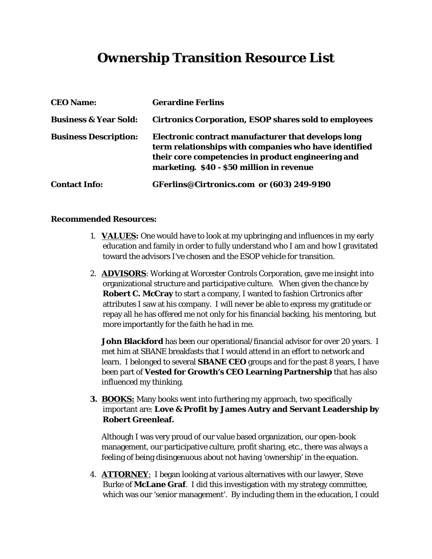# **Ownership Transition Resource List**

| <b>CEO</b> Name:                 | <b>Gerardine Ferlins</b>                                                                                                                                                                                        |
|----------------------------------|-----------------------------------------------------------------------------------------------------------------------------------------------------------------------------------------------------------------|
| <b>Business &amp; Year Sold:</b> | <b>Cirtronics Corporation, ESOP shares sold to employees</b>                                                                                                                                                    |
| <b>Business Description:</b>     | Electronic contract manufacturer that develops long<br>term relationships with companies who have identified<br>their core competencies in product engineering and<br>marketing. \$40 - \$50 million in revenue |
| <b>Contact Info:</b>             | GFerlins@Cirtronics.com or (603) 249-9190                                                                                                                                                                       |

### **Recommended Resources:**

- 1. **VALUES:** One would have to look at my upbringing and influences in my early education and family in order to fully understand who I am and how I gravitated toward the advisors I've chosen and the ESOP vehicle for transition.
- 2. **ADVISORS**: Working at Worcester Controls Corporation, gave me insight into organizational structure and participative culture. When given the chance by **Robert C. McCray** to start a company, I wanted to fashion Cirtronics after attributes I saw at his company. I will never be able to express my gratitude or repay all he has offered me not only for his financial backing, his mentoring, but more importantly for the faith he had in me.

**John Blackford** has been our operational/financial advisor for over 20 years. I met him at SBANE breakfasts that I would attend in an effort to network and learn. I belonged to several **SBANE CEO** groups and for the past 8 years, I have been part of **Vested for Growth's CEO Learning Partnership** that has also influenced my thinking.

**3. BOOKS:** Many books went into furthering my approach, two specifically important are: **Love & Profit by James Autry and Servant Leadership by Robert Greenleaf.**

Although I was very proud of our value based organization, our open-book management, our participative culture, profit sharing, etc., there was always a feeling of being disingenuous about not having 'ownership' in the equation.

4. **ATTORNEY**: I began looking at various alternatives with our lawyer, Steve Burke of **McLane Graf**. I did this investigation with my strategy committee, which was our 'senior management'. By including them in the education, I could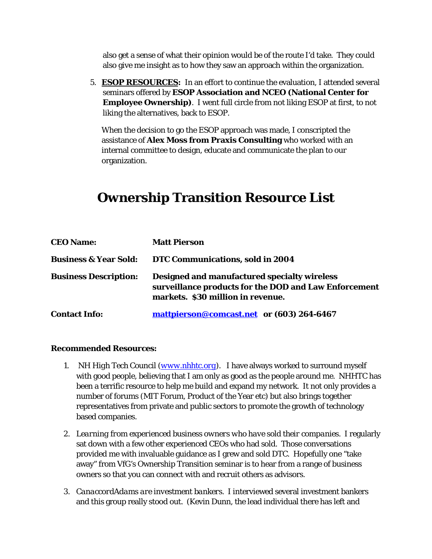also get a sense of what their opinion would be of the route I'd take. They could also give me insight as to how they saw an approach within the organization.

5. **ESOP RESOURCES:** In an effort to continue the evaluation, I attended several seminars offered by **ESOP Association and NCEO (National Center for Employee Ownership)**. I went full circle from not liking ESOP at first, to not liking the alternatives, back to ESOP.

When the decision to go the ESOP approach was made, I conscripted the assistance of **Alex Moss from Praxis Consulting** who worked with an internal committee to design, educate and communicate the plan to our organization.

# **Ownership Transition Resource List**

| <b>CEO</b> Name:                 | <b>Matt Pierson</b>                                                                                                                               |
|----------------------------------|---------------------------------------------------------------------------------------------------------------------------------------------------|
| <b>Business &amp; Year Sold:</b> | DTC Communications, sold in 2004                                                                                                                  |
| <b>Business Description:</b>     | <b>Designed and manufactured specialty wireless</b><br>surveillance products for the DOD and Law Enforcement<br>markets. \$30 million in revenue. |
| <b>Contact Info:</b>             | mattpierson@comcast.net or (603) 264-6467                                                                                                         |

#### **Recommended Resources:**

- 1. *NH High Tech Council [\(www.nhhtc.org\)](http://www.nhhtc.org/).* I have always worked to surround myself with good people, believing that I am only as good as the people around me. NHHTC has been a terrific resource to help me build and expand my network. It not only provides a number of forums (MIT Forum, Product of the Year etc) but also brings together representatives from private and public sectors to promote the growth of technology based companies.
- 2. *Learning from experienced business owners who have sold their companies*. I regularly sat down with a few other experienced CEOs who had sold. Those conversations provided me with invaluable guidance as I grew and sold DTC. Hopefully one "take away" from VfG's Ownership Transition seminar is to hear from a range of business owners so that you can connect with and recruit others as advisors.
- 3. *CanaccordAdams are investment bankers.* I interviewed several investment bankers and this group really stood out. (Kevin Dunn, the lead individual there has left and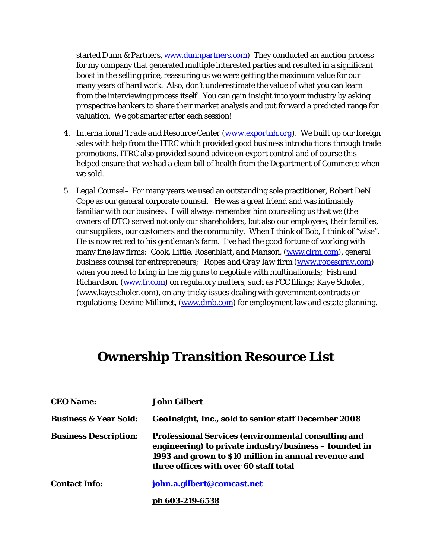started Dunn & Partners[, www.dunnpartners.com\)](http://www.dunnpartners.com/) They conducted an auction process for my company that generated multiple interested parties and resulted in a significant boost in the selling price, reassuring us we were getting the maximum value for our many years of hard work. Also, don't underestimate the value of what you can learn from the interviewing process itself. You can gain insight into your industry by asking prospective bankers to share their market analysis and put forward a predicted range for valuation. We got smarter after each session!

- *4. International Trade and Resource Center [\(www.exportnh.org](http://www.exportnh.org/)*). We built up our foreign sales with help from the ITRC which provided good business introductions through trade promotions. ITRC also provided sound advice on export control and of course this helped ensure that we had a clean bill of health from the Department of Commerce when we sold.
- *5. Legal Counsel–* For many years we used an outstanding sole practitioner, Robert DeN Cope as our general corporate counsel. He was a great friend and was intimately familiar with our business. I will always remember him counseling us that we (the owners of DTC) served not only our shareholders, but also our employees, their families, our suppliers, our customers and the community. When I think of Bob, I think of "wise". He is now retired to his gentleman's farm. I've had the good fortune of working with many fine law firms*: Cook, Little, Rosenblatt, and Manson,* [\(www.clrm.com\)](http://www.clrm.com/), general business counsel for entrepreneurs; *Ropes and Gray law firm [\(www.ropesgray.com\)](http://www.ropesgray.com/)* when you need to bring in the big guns to negotiate with multinationals; *Fish and Richardson*, [\(www.fr.com\)](http://www.fr.com/) on regulatory matters, such as FCC filings; *Kaye Scholer,* (www.kayescholer.com), on any tricky issues dealing with government contracts or regulations; Devine Millimet, [\(www.dmb.com\)](http://www.dmb.com/) for employment law and estate planning.

# **Ownership Transition Resource List**

| <b>CEO</b> Name:                 | <b>John Gilbert</b>                                                                                                                                                                                                    |
|----------------------------------|------------------------------------------------------------------------------------------------------------------------------------------------------------------------------------------------------------------------|
| <b>Business &amp; Year Sold:</b> | <b>GeoInsight, Inc., sold to senior staff December 2008</b>                                                                                                                                                            |
| <b>Business Description:</b>     | <b>Professional Services (environmental consulting and</b><br>engineering) to private industry/business – founded in<br>1993 and grown to \$10 million in annual revenue and<br>three offices with over 60 staff total |
| <b>Contact Info:</b>             | john.a.gilbert@comcast.net                                                                                                                                                                                             |
|                                  | ph 603-219-6538                                                                                                                                                                                                        |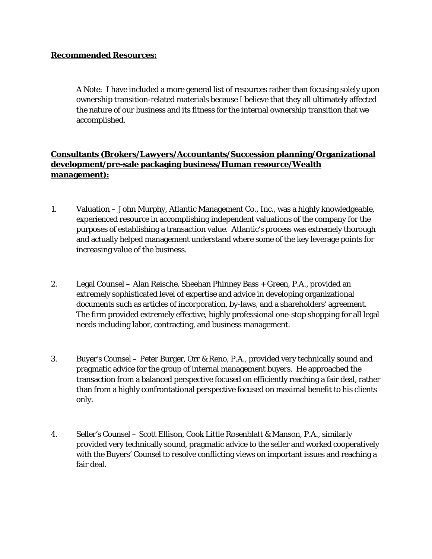### **Recommended Resources:**

A Note: I have included a more general list of resources rather than focusing solely upon ownership transition-related materials because I believe that they all ultimately affected the nature of our business and its fitness for the internal ownership transition that we accomplished.

### **Consultants (Brokers/Lawyers/Accountants/Succession planning/Organizational development/pre-sale packaging business/Human resource/Wealth management):**

- 1. Valuation John Murphy, Atlantic Management Co., Inc., was a highly knowledgeable, experienced resource in accomplishing independent valuations of the company for the purposes of establishing a transaction value. Atlantic's process was extremely thorough and actually helped management understand where some of the key leverage points for increasing value of the business.
- 2. Legal Counsel Alan Reische, Sheehan Phinney Bass + Green, P.A., provided an extremely sophisticated level of expertise and advice in developing organizational documents such as articles of incorporation, by-laws, and a shareholders' agreement. The firm provided extremely effective, highly professional one-stop shopping for all legal needs including labor, contracting, and business management.
- 3. Buyer's Counsel Peter Burger, Orr & Reno, P.A., provided very technically sound and pragmatic advice for the group of internal management buyers. He approached the transaction from a balanced perspective focused on efficiently reaching a fair deal, rather than from a highly confrontational perspective focused on maximal benefit to his clients only.
- 4. Seller's Counsel Scott Ellison, Cook Little Rosenblatt & Manson, P.A., similarly provided very technically sound, pragmatic advice to the seller and worked cooperatively with the Buyers' Counsel to resolve conflicting views on important issues and reaching a fair deal.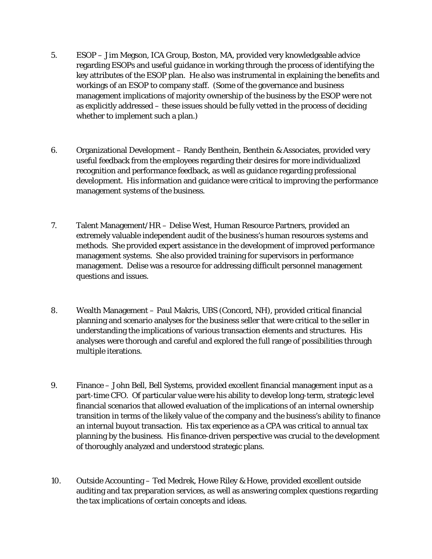- 5. ESOP Jim Megson, ICA Group, Boston, MA, provided very knowledgeable advice regarding ESOPs and useful guidance in working through the process of identifying the key attributes of the ESOP plan. He also was instrumental in explaining the benefits and workings of an ESOP to company staff. (Some of the governance and business management implications of majority ownership of the business by the ESOP were not as explicitly addressed – these issues should be fully vetted in the process of deciding whether to implement such a plan.)
- 6. Organizational Development Randy Benthein, Benthein & Associates, provided very useful feedback from the employees regarding their desires for more individualized recognition and performance feedback, as well as guidance regarding professional development. His information and guidance were critical to improving the performance management systems of the business.
- 7. Talent Management/HR Delise West, Human Resource Partners, provided an extremely valuable independent audit of the business's human resources systems and methods. She provided expert assistance in the development of improved performance management systems. She also provided training for supervisors in performance management. Delise was a resource for addressing difficult personnel management questions and issues.
- 8. Wealth Management Paul Makris, UBS (Concord, NH), provided critical financial planning and scenario analyses for the business seller that were critical to the seller in understanding the implications of various transaction elements and structures. His analyses were thorough and careful and explored the full range of possibilities through multiple iterations.
- 9. Finance John Bell, Bell Systems, provided excellent financial management input as a part-time CFO. Of particular value were his ability to develop long-term, strategic level financial scenarios that allowed evaluation of the implications of an internal ownership transition in terms of the likely value of the company and the business's ability to finance an internal buyout transaction. His tax experience as a CPA was critical to annual tax planning by the business. His finance-driven perspective was crucial to the development of thoroughly analyzed and understood strategic plans.
- 10. Outside Accounting Ted Medrek, Howe Riley & Howe, provided excellent outside auditing and tax preparation services, as well as answering complex questions regarding the tax implications of certain concepts and ideas.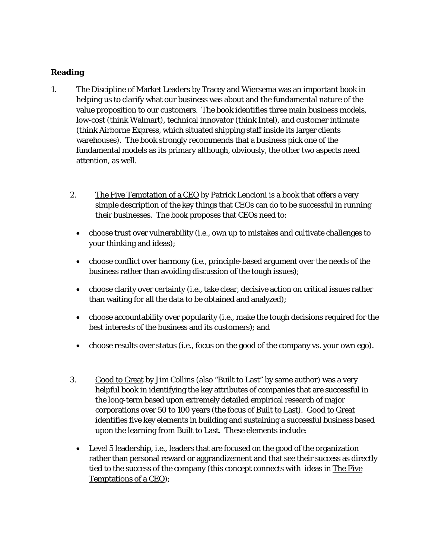### **Reading**

- 1. The Discipline of Market Leaders by Tracey and Wiersema was an important book in helping us to clarify what our business was about and the fundamental nature of the value proposition to our customers. The book identifies three main business models, low-cost (think Walmart), technical innovator (think Intel), and customer intimate (think Airborne Express, which situated shipping staff inside its larger clients warehouses). The book strongly recommends that a business pick one of the fundamental models as its primary although, obviously, the other two aspects need attention, as well.
	- 2. The Five Temptation of a CEO by Patrick Lencioni is a book that offers a very simple description of the key things that CEOs can do to be successful in running their businesses. The book proposes that CEOs need to:
		- choose trust over vulnerability (i.e., own up to mistakes and cultivate challenges to your thinking and ideas);
		- choose conflict over harmony (i.e., principle-based argument over the needs of the business rather than avoiding discussion of the tough issues);
		- choose clarity over certainty (i.e., take clear, decisive action on critical issues rather than waiting for all the data to be obtained and analyzed);
		- choose accountability over popularity (i.e., make the tough decisions required for the best interests of the business and its customers); and
		- choose results over status (i.e., focus on the good of the company vs. your own ego).
	- 3. Good to Great by Jim Collins (also "Built to Last" by same author) was a very helpful book in identifying the key attributes of companies that are successful in the long-term based upon extremely detailed empirical research of major corporations over 50 to 100 years (the focus of Built to Last). Good to Great identifies five key elements in building and sustaining a successful business based upon the learning from Built to Last. These elements include:
		- Level 5 leadership, i.e., leaders that are focused on the good of the organization rather than personal reward or aggrandizement and that see their success as directly tied to the success of the company (this concept connects with ideas in The Five Temptations of a CEO);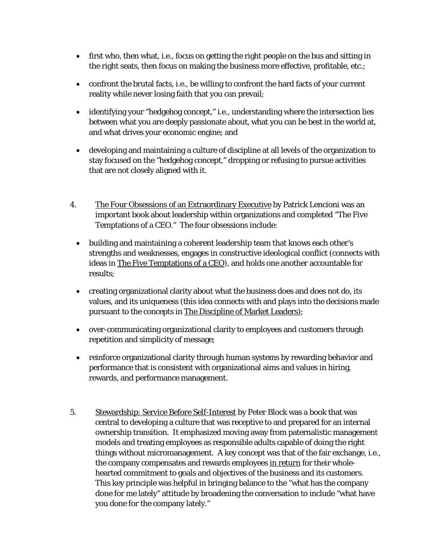- first who, then what, i.e., focus on getting the right people on the bus and sitting in the right seats, then focus on making the business more effective, profitable, etc.;
- confront the brutal facts, i.e., be willing to confront the hard facts of your current reality while never losing faith that you can prevail;
- identifying your "hedgehog concept," i.e., understanding where the intersection lies between what you are deeply passionate about, what you can be best in the world at, and what drives your economic engine; and
- developing and maintaining a culture of discipline at all levels of the organization to stay focused on the "hedgehog concept," dropping or refusing to pursue activities that are not closely aligned with it.
- 4. The Four Obsessions of an Extraordinary Executive by Patrick Lencioni was an important book about leadership within organizations and completed "The Five Temptations of a CEO." The four obsessions include:
	- building and maintaining a coherent leadership team that knows each other's strengths and weaknesses, engages in constructive ideological conflict (connects with ideas in The Five Temptations of a CEO), and holds one another accountable for results;
	- creating organizational clarity about what the business does and does not do, its values, and its uniqueness (this idea connects with and plays into the decisions made pursuant to the concepts in The Discipline of Market Leaders);
	- over-communicating organizational clarity to employees and customers through repetition and simplicity of message;
	- reinforce organizational clarity through human systems by rewarding behavior and performance that is consistent with organizational aims and values in hiring, rewards, and performance management.
- 5. Stewardship: Service Before Self-Interest by Peter Block was a book that was central to developing a culture that was receptive to and prepared for an internal ownership transition. It emphasized moving away from paternalistic management models and treating employees as responsible adults capable of doing the right things without micromanagement. A key concept was that of the fair exchange, i.e., the company compensates and rewards employees in return for their wholehearted commitment to goals and objectives of the business and its customers. This key principle was helpful in bringing balance to the "what has the company done for me lately" attitude by broadening the conversation to include "what have you done for the company lately."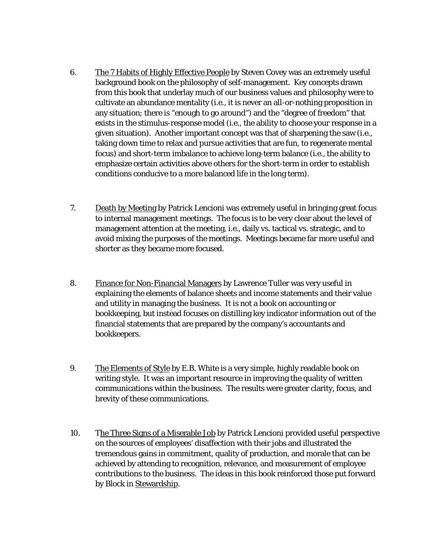- 6. The 7 Habits of Highly Effective People by Steven Covey was an extremely useful background book on the philosophy of self-management. Key concepts drawn from this book that underlay much of our business values and philosophy were to cultivate an abundance mentality (i.e., it is never an all-or-nothing proposition in any situation; there is "enough to go around") and the "degree of freedom" that exists in the stimulus-response model (i.e., the ability to choose your response in a given situation). Another important concept was that of sharpening the saw (i.e., taking down time to relax and pursue activities that are fun, to regenerate mental focus) and short-term imbalance to achieve long-term balance (i.e., the ability to emphasize certain activities above others for the short-term in order to establish conditions conducive to a more balanced life in the long term).
- 7. Death by Meeting by Patrick Lencioni was extremely useful in bringing great focus to internal management meetings. The focus is to be very clear about the level of management attention at the meeting, i.e., daily vs. tactical vs. strategic, and to avoid mixing the purposes of the meetings. Meetings became far more useful and shorter as they became more focused.
- 8. Finance for Non-Financial Managers by Lawrence Tuller was very useful in explaining the elements of balance sheets and income statements and their value and utility in managing the business. It is not a book on accounting or bookkeeping, but instead focuses on distilling key indicator information out of the financial statements that are prepared by the company's accountants and bookkeepers.
- 9. The Elements of Style by E.B. White is a very simple, highly readable book on writing style. It was an important resource in improving the quality of written communications within the business. The results were greater clarity, focus, and brevity of these communications.
- 10. The Three Signs of a Miserable Job by Patrick Lencioni provided useful perspective on the sources of employees' disaffection with their jobs and illustrated the tremendous gains in commitment, quality of production, and morale that can be achieved by attending to recognition, relevance, and measurement of employee contributions to the business. The ideas in this book reinforced those put forward by Block in Stewardship.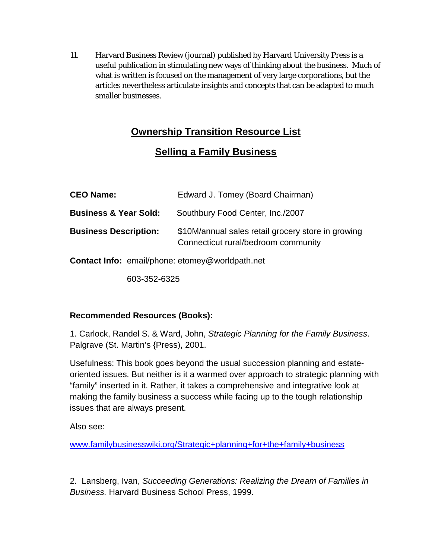11. Harvard Business Review (journal) published by Harvard University Press is a useful publication in stimulating new ways of thinking about the business. Much of what is written is focused on the management of very large corporations, but the articles nevertheless articulate insights and concepts that can be adapted to much smaller businesses.

# **Ownership Transition Resource List**

## **Selling a Family Business**

| <b>CEO Name:</b>                 | Edward J. Tomey (Board Chairman)                                                          |
|----------------------------------|-------------------------------------------------------------------------------------------|
| <b>Business &amp; Year Sold:</b> | Southbury Food Center, Inc./2007                                                          |
| <b>Business Description:</b>     | \$10M/annual sales retail grocery store in growing<br>Connecticut rural/bedroom community |

**Contact Info:** email/phone: etomey@worldpath.net

603-352-6325

## **Recommended Resources (Books):**

1. Carlock, Randel S. & Ward, John, *Strategic Planning for the Family Business*. Palgrave (St. Martin's {Press), 2001.

Usefulness: This book goes beyond the usual succession planning and estateoriented issues. But neither is it a warmed over approach to strategic planning with "family" inserted in it. Rather, it takes a comprehensive and integrative look at making the family business a success while facing up to the tough relationship issues that are always present.

Also see:

[www.familybusinesswiki.org/Strategic+planning+for+the+family+business](http://www.familybusinesswiki.org/Strategic+planning+for+the+family+business)

2. Lansberg, Ivan, *Succeeding Generations: Realizing the Dream of Families in Business.* Harvard Business School Press, 1999.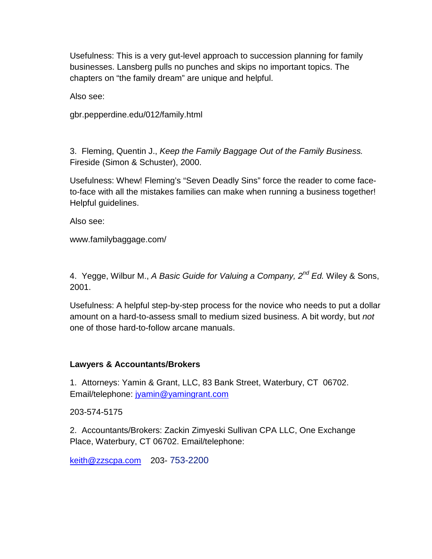Usefulness: This is a very gut-level approach to succession planning for family businesses. Lansberg pulls no punches and skips no important topics. The chapters on "the family dream" are unique and helpful.

Also see:

gbr.pepperdine.edu/012/family.html

3. Fleming, Quentin J., *Keep the Family Baggage Out of the Family Business.* Fireside (Simon & Schuster), 2000.

Usefulness: Whew! Fleming's "Seven Deadly Sins" force the reader to come faceto-face with all the mistakes families can make when running a business together! Helpful guidelines.

Also see:

www.familybaggage.com/

4. Yegge, Wilbur M., *A Basic Guide for Valuing a Company, 2nd Ed.* Wiley & Sons, 2001.

Usefulness: A helpful step-by-step process for the novice who needs to put a dollar amount on a hard-to-assess small to medium sized business. A bit wordy, but *not* one of those hard-to-follow arcane manuals.

## **Lawyers & Accountants/Brokers**

1. Attorneys: Yamin & Grant, LLC, 83 Bank Street, Waterbury, CT 06702. Email/telephone: [jyamin@yamingrant.com](mailto:jyamin@yamingrant.com)

203-574-5175

2. Accountants/Brokers: Zackin Zimyeski Sullivan CPA LLC, One Exchange Place, Waterbury, CT 06702. Email/telephone:

[keith@zzscpa.com](mailto:keith@zzscpa.com) 203- 753-2200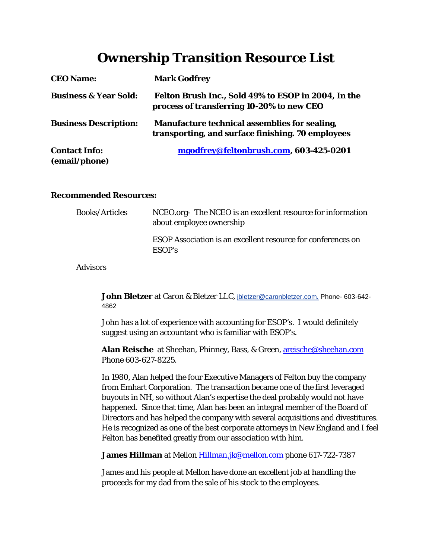# **Ownership Transition Resource List**

| <b>CEO</b> Name:                      | <b>Mark Godfrey</b>                                                                                |
|---------------------------------------|----------------------------------------------------------------------------------------------------|
| <b>Business &amp; Year Sold:</b>      | Felton Brush Inc., Sold 49% to ESOP in 2004, In the<br>process of transferring 10-20% to new CEO   |
| <b>Business Description:</b>          | Manufacture technical assemblies for sealing,<br>transporting, and surface finishing. 70 employees |
| <b>Contact Info:</b><br>(email/phone) | mgodfrey@feltonbrush.com, 603-425-0201                                                             |

#### **Recommended Resources:**

| <b>Books/Articles</b> | NCEO.org-The NCEO is an excellent resource for information<br>about employee ownership |
|-----------------------|----------------------------------------------------------------------------------------|
|                       | <b>ESOP Association is an excellent resource for conferences on</b><br>ESOP's          |

### Advisors

**John Bletzer** at Caron & Bletzer LLC, [jbletzer@caronbletzer.com.](mailto:jbletzer@caronbletzer.com.) Phone- 603-642-4862

John has a lot of experience with accounting for ESOP's. I would definitely suggest using an accountant who is familiar with ESOP's.

**Alan Reische** at Sheehan, Phinney, Bass, & Green, [areische@sheehan.com](mailto:areische@sheehan.com) Phone 603-627-8225.

In 1980, Alan helped the four Executive Managers of Felton buy the company from Emhart Corporation. The transaction became one of the first leveraged buyouts in NH, so without Alan's expertise the deal probably would not have happened. Since that time, Alan has been an integral member of the Board of Directors and has helped the company with several acquisitions and divestitures. He is recognized as one of the best corporate attorneys in New England and I feel Felton has benefited greatly from our association with him.

James Hillman at Mellon [Hillman.jk@mellon.com](mailto:Hillman.jk@mellon.com) phone 617-722-7387

James and his people at Mellon have done an excellent job at handling the proceeds for my dad from the sale of his stock to the employees.